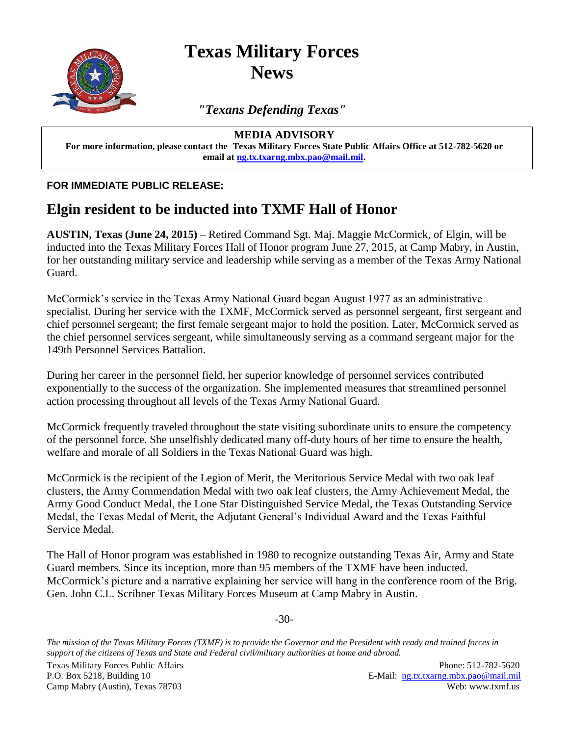

**Texas Military Forces News**

*"Texans Defending Texas"*

**MEDIA ADVISORY**

**For more information, please contact the Texas Military Forces State Public Affairs Office at 512-782-5620 or email at [ng.tx.txarng.mbx.pao@mail.mil.](mailto:ng.tx.txarng.mbx.pao@mail.mil)**

**FOR IMMEDIATE PUBLIC RELEASE:**

## **Elgin resident to be inducted into TXMF Hall of Honor**

**AUSTIN, Texas (June 24, 2015)** – Retired Command Sgt. Maj. Maggie McCormick, of Elgin, will be inducted into the Texas Military Forces Hall of Honor program June 27, 2015, at Camp Mabry, in Austin, for her outstanding military service and leadership while serving as a member of the Texas Army National Guard.

McCormick's service in the Texas Army National Guard began August 1977 as an administrative specialist. During her service with the TXMF, McCormick served as personnel sergeant, first sergeant and chief personnel sergeant; the first female sergeant major to hold the position. Later, McCormick served as the chief personnel services sergeant, while simultaneously serving as a command sergeant major for the 149th Personnel Services Battalion.

During her career in the personnel field, her superior knowledge of personnel services contributed exponentially to the success of the organization. She implemented measures that streamlined personnel action processing throughout all levels of the Texas Army National Guard.

McCormick frequently traveled throughout the state visiting subordinate units to ensure the competency of the personnel force. She unselfishly dedicated many off-duty hours of her time to ensure the health, welfare and morale of all Soldiers in the Texas National Guard was high.

McCormick is the recipient of the Legion of Merit, the Meritorious Service Medal with two oak leaf clusters, the Army Commendation Medal with two oak leaf clusters, the Army Achievement Medal, the Army Good Conduct Medal, the Lone Star Distinguished Service Medal, the Texas Outstanding Service Medal, the Texas Medal of Merit, the Adjutant General's Individual Award and the Texas Faithful Service Medal.

The Hall of Honor program was established in 1980 to recognize outstanding Texas Air, Army and State Guard members. Since its inception, more than 95 members of the TXMF have been inducted. McCormick's picture and a narrative explaining her service will hang in the conference room of the Brig. Gen. John C.L. Scribner Texas Military Forces Museum at Camp Mabry in Austin.

-30-

*The mission of the Texas Military Forces (TXMF) is to provide the Governor and the President with ready and trained forces in support of the citizens of Texas and State and Federal civil/military authorities at home and abroad.*

Texas Military Forces Public Affairs Phone: 512-782-5620

P.O. Box 5218, Building 10 E-Mail: ng.tx.txarng.mbx.pao@mail.mil Camp Mabry (Austin), Texas 78703 Web: www.txmf.us